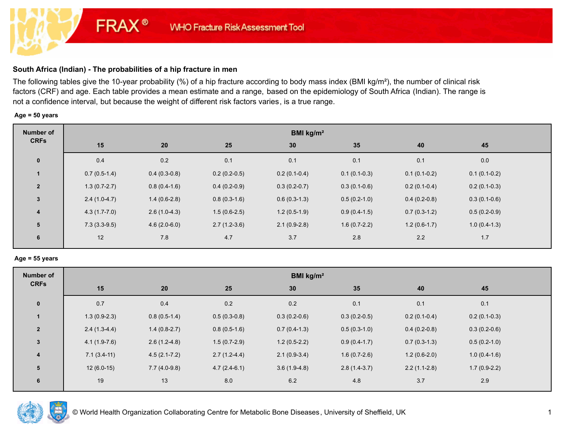## **South Africa (Indian) - The probabilities of a hip fracture in men**

**FRAX®** 

The following tables give the 10-year probability (%) of a hip fracture according to body mass index (BMI kg/m²), the number of clinical risk factors (CRF) and age. Each table provides a mean estimate and a range, based on the epidemiology of South Africa (Indian). The range is not a confidence interval, but because the weight of different risk factors varies, is a true range.

### **Age = 50 years**

| Number of               | BMI $kg/m2$    |                |                |                |                |                |                |  |
|-------------------------|----------------|----------------|----------------|----------------|----------------|----------------|----------------|--|
| <b>CRFs</b>             | 15             | 20             | 25             | 30             | 35             | 40             | 45             |  |
| $\mathbf 0$             | 0.4            | 0.2            | 0.1            | 0.1            | 0.1            | 0.1            | 0.0            |  |
|                         | $0.7(0.5-1.4)$ | $0.4(0.3-0.8)$ | $0.2(0.2-0.5)$ | $0.2(0.1-0.4)$ | $0.1(0.1-0.3)$ | $0.1(0.1-0.2)$ | $0.1(0.1-0.2)$ |  |
| $\overline{2}$          | $1.3(0.7-2.7)$ | $0.8(0.4-1.6)$ | $0.4(0.2-0.9)$ | $0.3(0.2-0.7)$ | $0.3(0.1-0.6)$ | $0.2(0.1-0.4)$ | $0.2(0.1-0.3)$ |  |
| $\mathbf{3}$            | $2.4(1.0-4.7)$ | $1.4(0.6-2.8)$ | $0.8(0.3-1.6)$ | $0.6(0.3-1.3)$ | $0.5(0.2-1.0)$ | $0.4(0.2-0.8)$ | $0.3(0.1-0.6)$ |  |
| $\overline{\mathbf{4}}$ | $4.3(1.7-7.0)$ | $2.6(1.0-4.3)$ | $1.5(0.6-2.5)$ | $1.2(0.5-1.9)$ | $0.9(0.4-1.5)$ | $0.7(0.3-1.2)$ | $0.5(0.2-0.9)$ |  |
| 5                       | $7.3(3.3-9.5)$ | $4.6(2.0-6.0)$ | $2.7(1.2-3.6)$ | $2.1(0.9-2.8)$ | $1.6(0.7-2.2)$ | $1.2(0.6-1.7)$ | $1.0(0.4-1.3)$ |  |
| 6                       | 12             | 7.8            | 4.7            | 3.7            | 2.8            | 2.2            | 1.7            |  |

#### **Age = 55 years**

| Number of      | BMI $kg/m2$    |                  |                |                |                |                |                |  |
|----------------|----------------|------------------|----------------|----------------|----------------|----------------|----------------|--|
| <b>CRFs</b>    | 15             | 20               | 25             | 30             | 35             | 40             | 45             |  |
| $\pmb{0}$      | 0.7            | 0.4              | 0.2            | 0.2            | 0.1            | 0.1            | 0.1            |  |
|                | $1.3(0.9-2.3)$ | $0.8(0.5-1.4)$   | $0.5(0.3-0.8)$ | $0.3(0.2-0.6)$ | $0.3(0.2-0.5)$ | $0.2(0.1-0.4)$ | $0.2(0.1-0.3)$ |  |
| $\overline{2}$ | $2.4(1.3-4.4)$ | $1.4(0.8-2.7)$   | $0.8(0.5-1.6)$ | $0.7(0.4-1.3)$ | $0.5(0.3-1.0)$ | $0.4(0.2-0.8)$ | $0.3(0.2-0.6)$ |  |
| 3              | $4.1(1.9-7.6)$ | $2.6(1.2-4.8)$   | $1.5(0.7-2.9)$ | $1.2(0.5-2.2)$ | $0.9(0.4-1.7)$ | $0.7(0.3-1.3)$ | $0.5(0.2-1.0)$ |  |
| 4              | $7.1(3.4-11)$  | $4.5(2.1 - 7.2)$ | $2.7(1.2-4.4)$ | $2.1(0.9-3.4)$ | $1.6(0.7-2.6)$ | $1.2(0.6-2.0)$ | $1.0(0.4-1.6)$ |  |
| 5              | $12(6.0-15)$   | $7.7(4.0-9.8)$   | $4.7(2.4-6.1)$ | $3.6(1.9-4.8)$ | $2.8(1.4-3.7)$ | $2.2(1.1-2.8)$ | $1.7(0.9-2.2)$ |  |
| 6              | 19             | 13               | 8.0            | 6.2            | 4.8            | 3.7            | 2.9            |  |

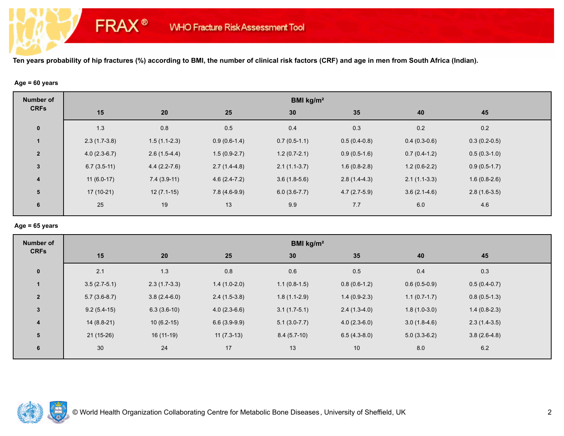### **Age = 60 years**

**FRAX®** 

| <b>Number of</b>        | BMI kg/m <sup>2</sup> |                |                |                |                |                |                |  |  |
|-------------------------|-----------------------|----------------|----------------|----------------|----------------|----------------|----------------|--|--|
| <b>CRFs</b>             | 15                    | 20             | 25             | 30             | 35             | 40             | 45             |  |  |
| $\pmb{0}$               | 1.3                   | 0.8            | 0.5            | 0.4            | 0.3            | 0.2            | 0.2            |  |  |
|                         | $2.3(1.7-3.8)$        | $1.5(1.1-2.3)$ | $0.9(0.6-1.4)$ | $0.7(0.5-1.1)$ | $0.5(0.4-0.8)$ | $0.4(0.3-0.6)$ | $0.3(0.2-0.5)$ |  |  |
| $\overline{2}$          | $4.0(2.3-6.7)$        | $2.6(1.5-4.4)$ | $1.5(0.9-2.7)$ | $1.2(0.7-2.1)$ | $0.9(0.5-1.6)$ | $0.7(0.4-1.2)$ | $0.5(0.3-1.0)$ |  |  |
| $\mathbf{3}$            | $6.7(3.5-11)$         | $4.4(2.2-7.6)$ | $2.7(1.4-4.8)$ | $2.1(1.1-3.7)$ | $1.6(0.8-2.8)$ | $1.2(0.6-2.2)$ | $0.9(0.5-1.7)$ |  |  |
| $\overline{\mathbf{4}}$ | $11(6.0-17)$          | $7.4(3.9-11)$  | $4.6(2.4-7.2)$ | $3.6(1.8-5.6)$ | $2.8(1.4-4.3)$ | $2.1(1.1-3.3)$ | $1.6(0.8-2.6)$ |  |  |
| 5                       | 17 (10-21)            | $12(7.1-15)$   | $7.8(4.6-9.9)$ | $6.0(3.6-7.7)$ | $4.7(2.7-5.9)$ | $3.6(2.1-4.6)$ | $2.8(1.6-3.5)$ |  |  |
| 6                       | 25                    | 19             | 13             | 9.9            | 7.7            | 6.0            | 4.6            |  |  |
|                         |                       |                |                |                |                |                |                |  |  |

### **Age = 65 years**

| <b>Number of</b>        | BMI kg/m <sup>2</sup> |                |                |                |                |                |                |  |
|-------------------------|-----------------------|----------------|----------------|----------------|----------------|----------------|----------------|--|
| <b>CRFs</b>             | 15                    | 20             | 25             | 30             | 35             | 40             | 45             |  |
| $\mathbf{0}$            | 2.1                   | 1.3            | 0.8            | 0.6            | 0.5            | 0.4            | 0.3            |  |
| $\mathbf{1}$            | $3.5(2.7-5.1)$        | $2.3(1.7-3.3)$ | $1.4(1.0-2.0)$ | $1.1(0.8-1.5)$ | $0.8(0.6-1.2)$ | $0.6(0.5-0.9)$ | $0.5(0.4-0.7)$ |  |
| $\overline{2}$          | $5.7(3.6-8.7)$        | $3.8(2.4-6.0)$ | $2.4(1.5-3.8)$ | $1.8(1.1-2.9)$ | $1.4(0.9-2.3)$ | $1.1(0.7-1.7)$ | $0.8(0.5-1.3)$ |  |
| $\mathbf{3}$            | $9.2(5.4-15)$         | $6.3(3.6-10)$  | $4.0(2.3-6.6)$ | $3.1(1.7-5.1)$ | $2.4(1.3-4.0)$ | $1.8(1.0-3.0)$ | $1.4(0.8-2.3)$ |  |
| $\overline{\mathbf{4}}$ | $14(8.8-21)$          | $10(6.2-15)$   | $6.6(3.9-9.9)$ | $5.1(3.0-7.7)$ | $4.0(2.3-6.0)$ | $3.0(1.8-4.6)$ | $2.3(1.4-3.5)$ |  |
| 5                       | $21(15-26)$           | 16 (11-19)     | $11(7.3-13)$   | $8.4(5.7-10)$  | $6.5(4.3-8.0)$ | $5.0(3.3-6.2)$ | $3.8(2.6-4.8)$ |  |
| 6                       | 30                    | 24             | 17             | 13             | 10             | 8.0            | $6.2\,$        |  |

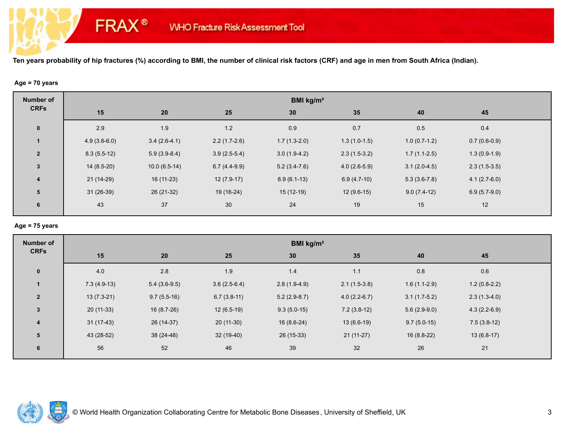### **Age = 70 years**

**FRAX®** 

| Number of<br><b>CRFs</b> | BMI kg/m <sup>2</sup> |                |                |                |                |                |                |  |  |
|--------------------------|-----------------------|----------------|----------------|----------------|----------------|----------------|----------------|--|--|
|                          | 15                    | 20             | 25             | 30             | 35             | 40             | 45             |  |  |
| $\mathbf 0$              | 2.9                   | 1.9            | 1.2            | 0.9            | 0.7            | 0.5            | 0.4            |  |  |
|                          | $4.9(3.6-6.0)$        | $3.4(2.6-4.1)$ | $2.2(1.7-2.6)$ | $1.7(1.3-2.0)$ | $1.3(1.0-1.5)$ | $1.0(0.7-1.2)$ | $0.7(0.6-0.9)$ |  |  |
| $\overline{2}$           | $8.3(5.5-12)$         | $5.9(3.9-8.4)$ | $3.9(2.5-5.4)$ | $3.0(1.9-4.2)$ | $2.3(1.5-3.2)$ | $1.7(1.1-2.5)$ | $1.3(0.9-1.9)$ |  |  |
| $\mathbf{3}$             | $14(8.5-20)$          | $10.0(6.5-14)$ | $6.7(4.4-9.9)$ | $5.2(3.4-7.6)$ | $4.0(2.6-5.9)$ | $3.1(2.0-4.5)$ | $2.3(1.5-3.5)$ |  |  |
| $\overline{\mathbf{4}}$  | $21(14-29)$           | $16(11-23)$    | $12(7.9-17)$   | $8.9(6.1-13)$  | $6.9(4.7-10)$  | $5.3(3.6-7.8)$ | $4.1(2.7-6.0)$ |  |  |
| 5                        | $31(26-39)$           | 26 (21-32)     | 19 (16-24)     | $15(12-19)$    | $12(9.6-15)$   | $9.0(7.4-12)$  | $6.9(5.7-9.0)$ |  |  |
| 6                        | 43                    | 37             | 30             | 24             | 19             | 15             | 12             |  |  |
|                          |                       |                |                |                |                |                |                |  |  |

### **Age = 75 years**

| <b>Number of</b>        | BMI kg/m <sup>2</sup> |                |                |                |                |                |                |  |  |
|-------------------------|-----------------------|----------------|----------------|----------------|----------------|----------------|----------------|--|--|
| <b>CRFs</b>             | 15                    | 20             | 25             | 30             | 35             | 40             | 45             |  |  |
| $\mathbf{0}$            | 4.0                   | 2.8            | 1.9            | 1.4            | $1.1$          | 0.8            | 0.6            |  |  |
| $\mathbf{1}$            | $7.3(4.9-13)$         | $5.4(3.6-9.5)$ | $3.6(2.5-6.4)$ | $2.8(1.9-4.9)$ | $2.1(1.5-3.8)$ | $1.6(1.1-2.9)$ | $1.2(0.8-2.2)$ |  |  |
| $\overline{2}$          | $13(7.3-21)$          | $9.7(5.5-16)$  | $6.7(3.8-11)$  | $5.2(2.9-8.7)$ | $4.0(2.2-6.7)$ | $3.1(1.7-5.2)$ | $2.3(1.3-4.0)$ |  |  |
| $\mathbf{3}$            | $20(11-33)$           | $16(8.7-26)$   | $12(6.5-19)$   | $9.3(5.0-15)$  | $7.2(3.8-12)$  | $5.6(2.9-9.0)$ | $4.3(2.2-6.9)$ |  |  |
| $\overline{\mathbf{4}}$ | $31(17-43)$           | 26 (14-37)     | $20(11-30)$    | $16(8.6-24)$   | $13(6.6-19)$   | $9.7(5.0-15)$  | $7.5(3.8-12)$  |  |  |
| 5                       | 43 (28-52)            | 38 (24-48)     | 32 (19-40)     | 26 (15-33)     | $21(11-27)$    | 16 (8.8-22)    | $13(6.8-17)$   |  |  |
| 6                       | 56                    | 52             | 46             | 39             | 32             | 26             | 21             |  |  |

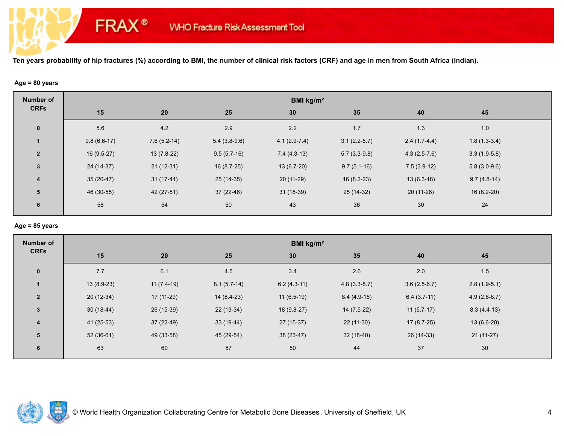### **Age = 80 years**

**FRAX®** 

| <b>Number of</b>        | BMI kg/m <sup>2</sup> |               |                |                |                |                |                |  |  |
|-------------------------|-----------------------|---------------|----------------|----------------|----------------|----------------|----------------|--|--|
| <b>CRFs</b>             | 15                    | 20            | 25             | 30             | 35             | 40             | 45             |  |  |
| $\mathbf 0$             | 5.6                   | 4.2           | 2.9            | 2.2            | 1.7            | 1.3            | 1.0            |  |  |
| $\mathbf{1}$            | $9.8(6.6-17)$         | $7.6(5.2-14)$ | $5.4(3.8-9.6)$ | $4.1(2.9-7.4)$ | $3.1(2.2-5.7)$ | $2.4(1.7-4.4)$ | $1.8(1.3-3.4)$ |  |  |
| $\overline{2}$          | $16(9.5-27)$          | $13(7.8-22)$  | $9.5(5.7-16)$  | $7.4(4.3-13)$  | $5.7(3.3-9.8)$ | $4.3(2.5-7.6)$ | $3.3(1.9-5.8)$ |  |  |
| $\mathbf{3}$            | 24 (14-37)            | $21(12-31)$   | $16(8.7-25)$   | $13(6.7-20)$   | $9.7(5.1-16)$  | $7.5(3.9-12)$  | $5.8(3.0-9.6)$ |  |  |
| $\overline{\mathbf{4}}$ | $35(20-47)$           | $31(17-41)$   | $25(14-35)$    | $20(11-29)$    | $16(8.2-23)$   | $13(6.3-18)$   | $9.7(4.8-14)$  |  |  |
| 5                       | 46 (30-55)            | 42 (27-51)    | $37(22-46)$    | 31 (18-39)     | $25(14-32)$    | 20 (11-26)     | $16(8.2-20)$   |  |  |
| 6                       | 58                    | 54            | 50             | 43             | 36             | 30             | 24             |  |  |

# **Age = 85 years**

| <b>Number of</b>        | BMI kg/m <sup>2</sup> |              |               |               |                |                |                |  |  |
|-------------------------|-----------------------|--------------|---------------|---------------|----------------|----------------|----------------|--|--|
| <b>CRFs</b>             | 15                    | 20           | 25            | 30            | 35             | 40             | 45             |  |  |
| $\mathbf{0}$            | 7.7                   | 6.1          | 4.5           | 3.4           | 2.6            | 2.0            | 1.5            |  |  |
| $\mathbf{1}$            | $13(8.9-23)$          | $11(7.4-19)$ | $8.1(5.7-14)$ | $6.2(4.3-11)$ | $4.8(3.3-8.7)$ | $3.6(2.5-6.7)$ | $2.8(1.9-5.1)$ |  |  |
| $\overline{2}$          | $20(12-34)$           | 17 (11-29)   | $14(8.4-23)$  | $11(6.5-19)$  | $8.4(4.9-15)$  | $6.4(3.7-11)$  | $4.9(2.8-8.7)$ |  |  |
| $\mathbf{3}$            | $30(18-44)$           | 26 (15-39)   | 22 (13-34)    | $18(9.8-27)$  | $14(7.5-22)$   | $11(5.7-17)$   | $8.3(4.4-13)$  |  |  |
| $\overline{\mathbf{4}}$ | 41 (25-53)            | $37(22-49)$  | $33(19-44)$   | $27(15-37)$   | $22(11-30)$    | $17(8.7-25)$   | $13(6.6-20)$   |  |  |
| 5                       | $52(36-61)$           | 49 (33-58)   | 45 (29-54)    | 38 (23-47)    | $32(18-40)$    | 26 (14-33)     | $21(11-27)$    |  |  |
| 6                       | 63                    | 60           | 57            | 50            | 44             | 37             | 30             |  |  |